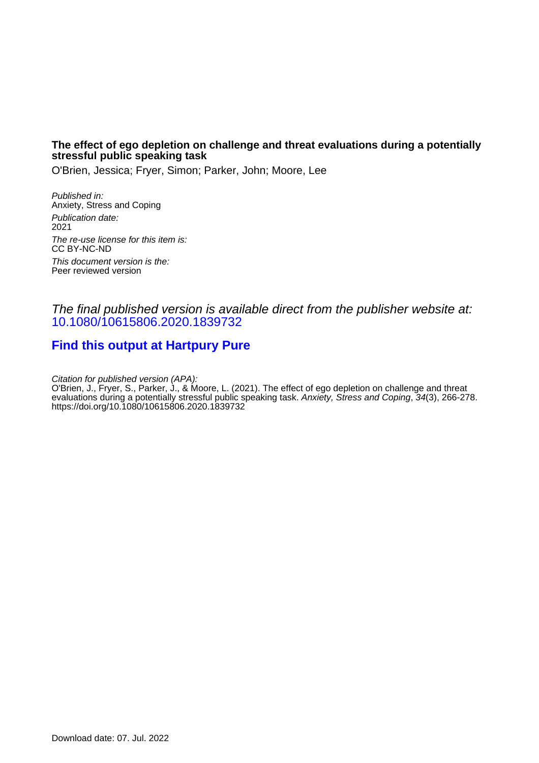# **The effect of ego depletion on challenge and threat evaluations during a potentially stressful public speaking task**

O'Brien, Jessica; Fryer, Simon; Parker, John; Moore, Lee

Published in: Anxiety, Stress and Coping Publication date: 2021 The re-use license for this item is: CC BY-NC-ND This document version is the: Peer reviewed version

# The final published version is available direct from the publisher website at: [10.1080/10615806.2020.1839732](https://doi.org/10.1080/10615806.2020.1839732)

# **[Find this output at Hartpury Pure](https://hartpury.pure.elsevier.com/en/publications/d606e528-f9c1-48bc-b942-f188707dd56a)**

Citation for published version (APA):

O'Brien, J., Fryer, S., Parker, J., & Moore, L. (2021). The effect of ego depletion on challenge and threat evaluations during a potentially stressful public speaking task. *Anxiety, Stress and Coping*, 34(3), 266-278. <https://doi.org/10.1080/10615806.2020.1839732>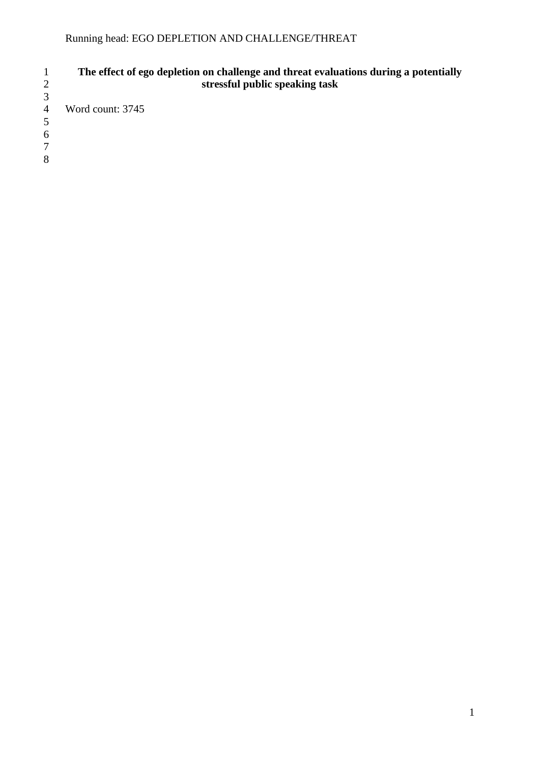# **The effect of ego depletion on challenge and threat evaluations during a potentially stressful public speaking task**

Word count: 3745

 

 $\frac{3}{4}$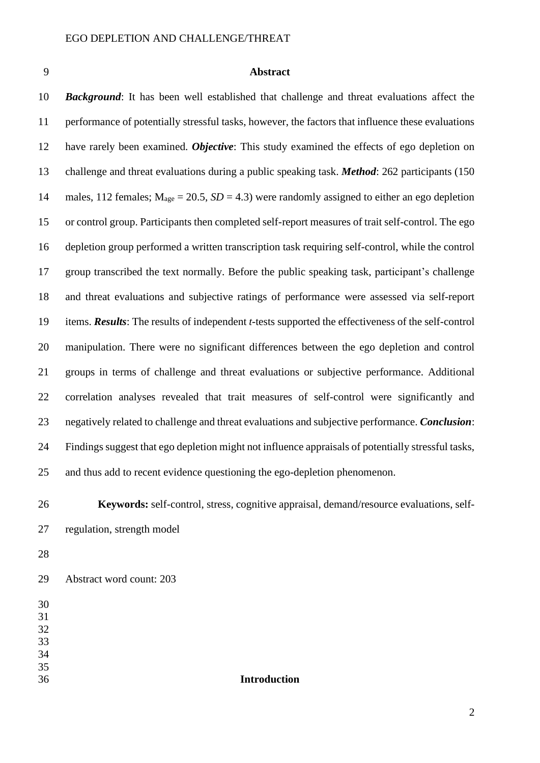# **Abstract**

 *Background*: It has been well established that challenge and threat evaluations affect the performance of potentially stressful tasks, however, the factors that influence these evaluations have rarely been examined. *Objective*: This study examined the effects of ego depletion on challenge and threat evaluations during a public speaking task. *Method*: 262 participants (150 14 males, 112 females;  $M_{\text{age}} = 20.5$ ,  $SD = 4.3$ ) were randomly assigned to either an ego depletion or control group. Participants then completed self-report measures of trait self-control. The ego depletion group performed a written transcription task requiring self-control, while the control group transcribed the text normally. Before the public speaking task, participant's challenge and threat evaluations and subjective ratings of performance were assessed via self-report items. *Results*: The results of independent *t*-tests supported the effectiveness of the self-control manipulation. There were no significant differences between the ego depletion and control groups in terms of challenge and threat evaluations or subjective performance. Additional correlation analyses revealed that trait measures of self-control were significantly and negatively related to challenge and threat evaluations and subjective performance. *Conclusion*: Findings suggest that ego depletion might not influence appraisals of potentially stressful tasks, and thus add to recent evidence questioning the ego-depletion phenomenon.

 **Keywords:** self-control, stress, cognitive appraisal, demand/resource evaluations, self-regulation, strength model

Abstract word count: 203

- 
- 
- 
- 
- 

# **Introduction**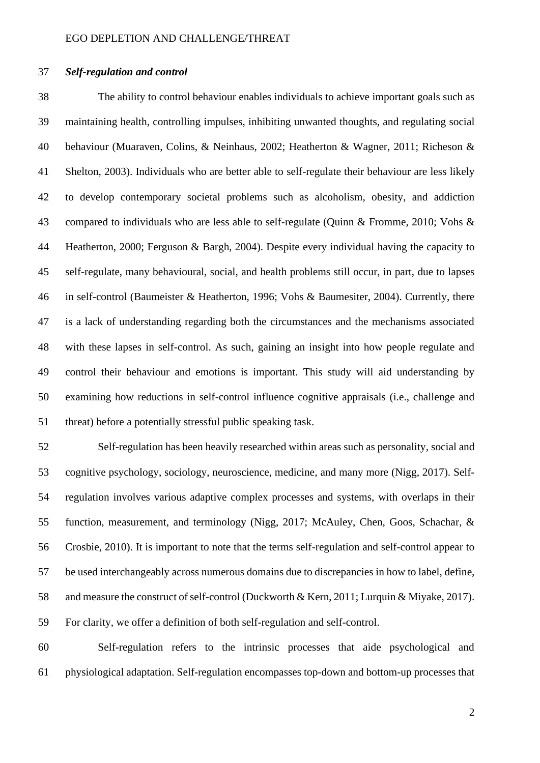## *Self-regulation and control*

 The ability to control behaviour enables individuals to achieve important goals such as maintaining health, controlling impulses, inhibiting unwanted thoughts, and regulating social behaviour (Muaraven, Colins, & Neinhaus, 2002; Heatherton & Wagner, 2011; Richeson & Shelton, 2003). Individuals who are better able to self-regulate their behaviour are less likely to develop contemporary societal problems such as alcoholism, obesity, and addiction compared to individuals who are less able to self-regulate (Quinn & Fromme, 2010; Vohs & Heatherton, 2000; Ferguson & Bargh, 2004). Despite every individual having the capacity to self-regulate, many behavioural, social, and health problems still occur, in part, due to lapses in self-control (Baumeister & Heatherton, 1996; Vohs & Baumesiter, 2004). Currently, there is a lack of understanding regarding both the circumstances and the mechanisms associated with these lapses in self-control. As such, gaining an insight into how people regulate and control their behaviour and emotions is important. This study will aid understanding by examining how reductions in self-control influence cognitive appraisals (i.e., challenge and threat) before a potentially stressful public speaking task.

 Self-regulation has been heavily researched within areas such as personality, social and cognitive psychology, sociology, neuroscience, medicine, and many more (Nigg, 2017). Self- regulation involves various adaptive complex processes and systems, with overlaps in their function, measurement, and terminology (Nigg, 2017; McAuley, Chen, Goos, Schachar, & Crosbie, 2010). It is important to note that the terms self-regulation and self-control appear to be used interchangeably across numerous domains due to discrepancies in how to label, define, and measure the construct of self-control (Duckworth & Kern, 2011; Lurquin & Miyake, 2017). For clarity, we offer a definition of both self-regulation and self-control.

 Self-regulation refers to the intrinsic processes that aide psychological and physiological adaptation. Self-regulation encompasses top-down and bottom-up processes that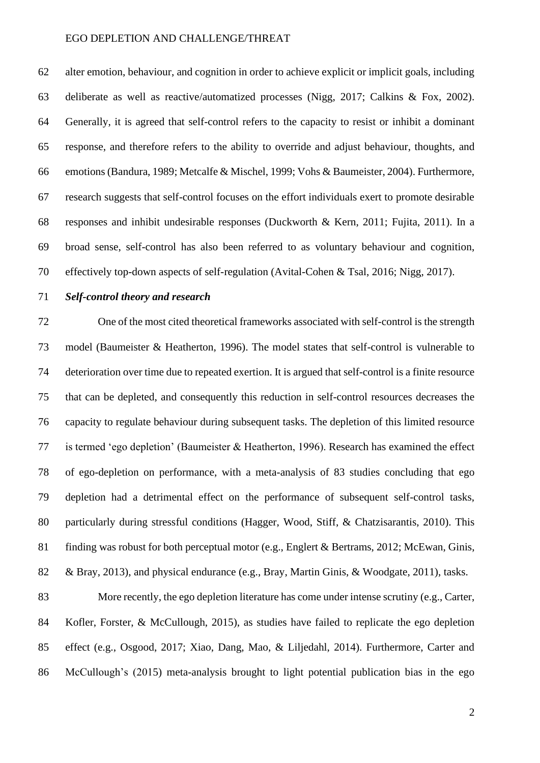alter emotion, behaviour, and cognition in order to achieve explicit or implicit goals, including deliberate as well as reactive/automatized processes (Nigg, 2017; Calkins & Fox, 2002). Generally, it is agreed that self-control refers to the capacity to resist or inhibit a dominant response, and therefore refers to the ability to override and adjust behaviour, thoughts, and emotions(Bandura, 1989; Metcalfe & Mischel, 1999; Vohs & Baumeister, 2004). Furthermore, research suggests that self-control focuses on the effort individuals exert to promote desirable responses and inhibit undesirable responses (Duckworth & Kern, 2011; Fujita, 2011). In a broad sense, self-control has also been referred to as voluntary behaviour and cognition, effectively top-down aspects of self-regulation (Avital-Cohen & Tsal, 2016; Nigg, 2017).

### *Self-control theory and research*

 One of the most cited theoretical frameworks associated with self-control is the strength model (Baumeister & Heatherton, 1996). The model states that self-control is vulnerable to deterioration over time due to repeated exertion. It is argued that self-control is a finite resource that can be depleted, and consequently this reduction in self-control resources decreases the capacity to regulate behaviour during subsequent tasks. The depletion of this limited resource is termed 'ego depletion' (Baumeister & Heatherton, 1996). Research has examined the effect of ego-depletion on performance, with a meta-analysis of 83 studies concluding that ego depletion had a detrimental effect on the performance of subsequent self-control tasks, particularly during stressful conditions (Hagger, Wood, Stiff, & Chatzisarantis, 2010). This finding was robust for both perceptual motor (e.g., Englert & Bertrams, 2012; McEwan, Ginis, & Bray, 2013), and physical endurance (e.g., Bray, Martin Ginis, & Woodgate, 2011), tasks.

 More recently, the ego depletion literature has come under intense scrutiny (e.g., Carter, Kofler, Forster, & McCullough, 2015), as studies have failed to replicate the ego depletion effect (e.g., Osgood, 2017; Xiao, Dang, Mao, & Liljedahl, 2014). Furthermore, Carter and McCullough's (2015) meta-analysis brought to light potential publication bias in the ego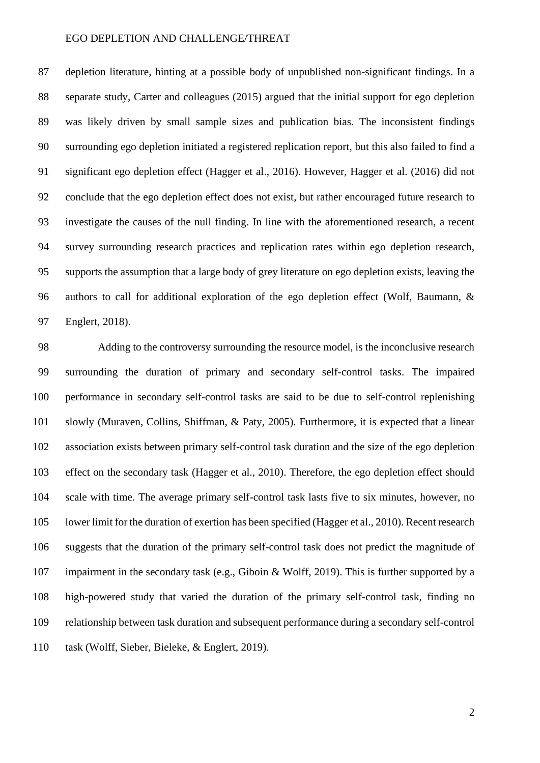depletion literature, hinting at a possible body of unpublished non-significant findings. In a separate study, Carter and colleagues (2015) argued that the initial support for ego depletion was likely driven by small sample sizes and publication bias. The inconsistent findings surrounding ego depletion initiated a registered replication report, but this also failed to find a significant ego depletion effect (Hagger et al., 2016). However, Hagger et al. (2016) did not conclude that the ego depletion effect does not exist, but rather encouraged future research to investigate the causes of the null finding. In line with the aforementioned research, a recent survey surrounding research practices and replication rates within ego depletion research, supports the assumption that a large body of grey literature on ego depletion exists, leaving the authors to call for additional exploration of the ego depletion effect (Wolf, Baumann, & Englert, 2018).

 Adding to the controversy surrounding the resource model, is the inconclusive research surrounding the duration of primary and secondary self-control tasks. The impaired performance in secondary self-control tasks are said to be due to self-control replenishing slowly (Muraven, Collins, Shiffman, & Paty, 2005). Furthermore, it is expected that a linear association exists between primary self-control task duration and the size of the ego depletion effect on the secondary task (Hagger et al., 2010). Therefore, the ego depletion effect should scale with time. The average primary self-control task lasts five to six minutes, however, no lower limit for the duration of exertion has been specified (Hagger et al., 2010). Recent research suggests that the duration of the primary self-control task does not predict the magnitude of impairment in the secondary task (e.g., Giboin & Wolff, 2019). This is further supported by a high-powered study that varied the duration of the primary self-control task, finding no relationship between task duration and subsequent performance during a secondary self-control task (Wolff, Sieber, Bieleke, & Englert, 2019).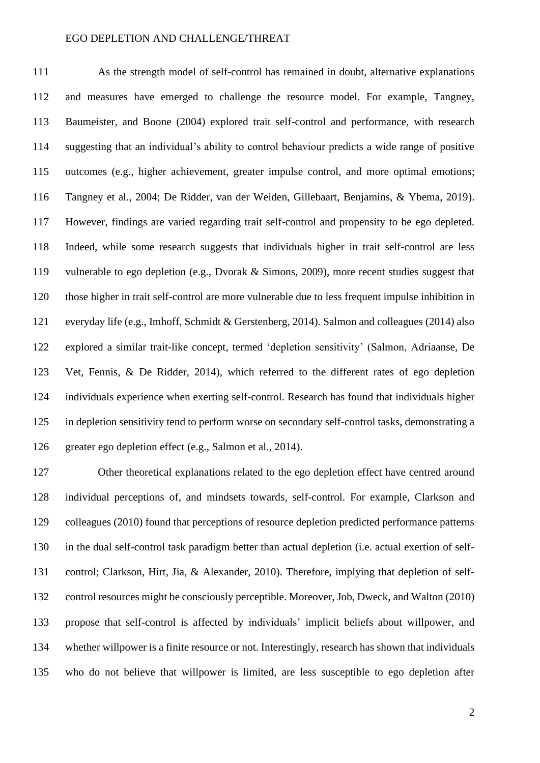As the strength model of self-control has remained in doubt, alternative explanations and measures have emerged to challenge the resource model. For example, Tangney, Baumeister, and Boone (2004) explored trait self-control and performance, with research suggesting that an individual's ability to control behaviour predicts a wide range of positive outcomes (e.g., higher achievement, greater impulse control, and more optimal emotions; Tangney et al., 2004; De Ridder, van der Weiden, Gillebaart, Benjamins, & Ybema, 2019). However, findings are varied regarding trait self-control and propensity to be ego depleted. Indeed, while some research suggests that individuals higher in trait self-control are less vulnerable to ego depletion (e.g., Dvorak & Simons, 2009), more recent studies suggest that those higher in trait self-control are more vulnerable due to less frequent impulse inhibition in everyday life (e.g., Imhoff, Schmidt & Gerstenberg, 2014). Salmon and colleagues (2014) also explored a similar trait-like concept, termed 'depletion sensitivity' (Salmon, Adriaanse, De Vet, Fennis, & De Ridder, 2014), which referred to the different rates of ego depletion individuals experience when exerting self-control. Research has found that individuals higher in depletion sensitivity tend to perform worse on secondary self-control tasks, demonstrating a greater ego depletion effect (e.g., Salmon et al., 2014).

 Other theoretical explanations related to the ego depletion effect have centred around individual perceptions of, and mindsets towards, self-control. For example, Clarkson and colleagues (2010) found that perceptions of resource depletion predicted performance patterns in the dual self-control task paradigm better than actual depletion (i.e. actual exertion of self- control; Clarkson, Hirt, Jia, & Alexander, 2010). Therefore, implying that depletion of self- control resources might be consciously perceptible. Moreover, Job, Dweck, and Walton (2010) propose that self-control is affected by individuals' implicit beliefs about willpower, and whether willpower is a finite resource or not. Interestingly, research has shown that individuals who do not believe that willpower is limited, are less susceptible to ego depletion after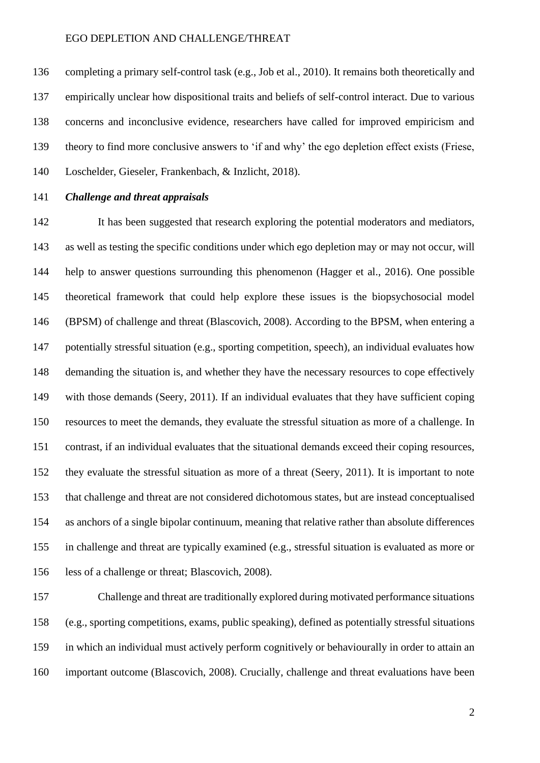completing a primary self-control task (e.g., Job et al., 2010). It remains both theoretically and empirically unclear how dispositional traits and beliefs of self-control interact. Due to various concerns and inconclusive evidence, researchers have called for improved empiricism and theory to find more conclusive answers to 'if and why' the ego depletion effect exists (Friese, Loschelder, Gieseler, Frankenbach, & Inzlicht, 2018).

# *Challenge and threat appraisals*

 It has been suggested that research exploring the potential moderators and mediators, as well as testing the specific conditions under which ego depletion may or may not occur, will help to answer questions surrounding this phenomenon (Hagger et al., 2016). One possible theoretical framework that could help explore these issues is the biopsychosocial model (BPSM) of challenge and threat (Blascovich, 2008). According to the BPSM, when entering a potentially stressful situation (e.g., sporting competition, speech), an individual evaluates how demanding the situation is, and whether they have the necessary resources to cope effectively with those demands (Seery, 2011). If an individual evaluates that they have sufficient coping resources to meet the demands, they evaluate the stressful situation as more of a challenge. In contrast, if an individual evaluates that the situational demands exceed their coping resources, they evaluate the stressful situation as more of a threat (Seery, 2011). It is important to note that challenge and threat are not considered dichotomous states, but are instead conceptualised as anchors of a single bipolar continuum, meaning that relative rather than absolute differences in challenge and threat are typically examined (e.g., stressful situation is evaluated as more or less of a challenge or threat; Blascovich, 2008).

 Challenge and threat are traditionally explored during motivated performance situations (e.g., sporting competitions, exams, public speaking), defined as potentially stressful situations in which an individual must actively perform cognitively or behaviourally in order to attain an important outcome (Blascovich, 2008). Crucially, challenge and threat evaluations have been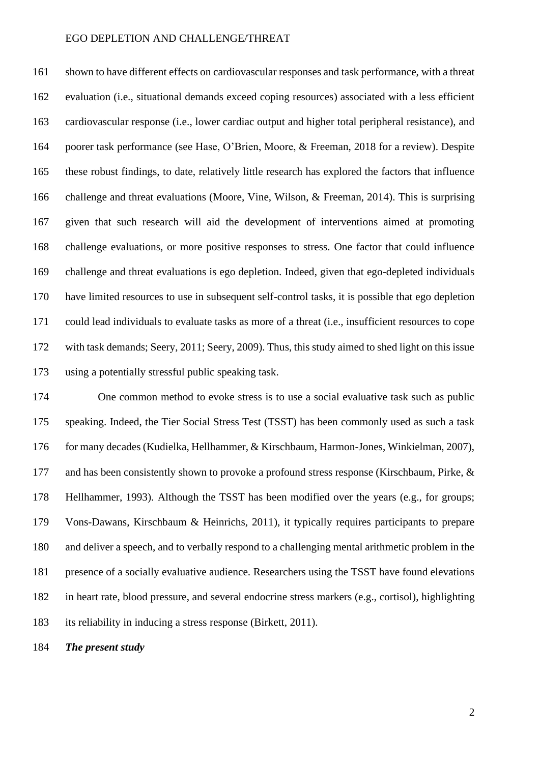shown to have different effects on cardiovascular responses and task performance, with a threat evaluation (i.e., situational demands exceed coping resources) associated with a less efficient cardiovascular response (i.e., lower cardiac output and higher total peripheral resistance), and poorer task performance (see Hase, O'Brien, Moore, & Freeman, 2018 for a review). Despite these robust findings, to date, relatively little research has explored the factors that influence challenge and threat evaluations (Moore, Vine, Wilson, & Freeman, 2014). This is surprising given that such research will aid the development of interventions aimed at promoting challenge evaluations, or more positive responses to stress. One factor that could influence challenge and threat evaluations is ego depletion. Indeed, given that ego-depleted individuals have limited resources to use in subsequent self-control tasks, it is possible that ego depletion could lead individuals to evaluate tasks as more of a threat (i.e., insufficient resources to cope 172 with task demands; Seery, 2011; Seery, 2009). Thus, this study aimed to shed light on this issue using a potentially stressful public speaking task.

 One common method to evoke stress is to use a social evaluative task such as public speaking. Indeed, the Tier Social Stress Test (TSST) has been commonly used as such a task for many decades (Kudielka, Hellhammer, & Kirschbaum, Harmon-Jones, Winkielman, 2007), and has been consistently shown to provoke a profound stress response (Kirschbaum, Pirke, & Hellhammer, 1993). Although the TSST has been modified over the years (e.g., for groups; Vons-Dawans, Kirschbaum & Heinrichs, 2011), it typically requires participants to prepare and deliver a speech, and to verbally respond to a challenging mental arithmetic problem in the presence of a socially evaluative audience. Researchers using the TSST have found elevations in heart rate, blood pressure, and several endocrine stress markers (e.g., cortisol), highlighting its reliability in inducing a stress response (Birkett, 2011).

*The present study*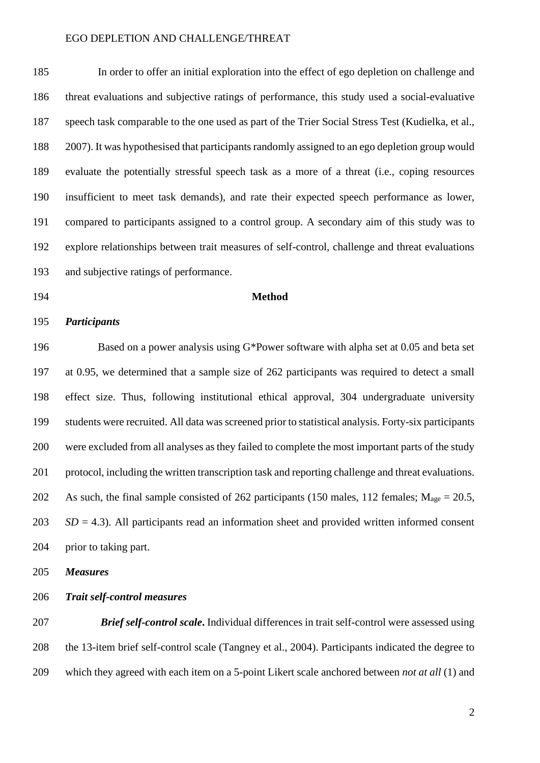In order to offer an initial exploration into the effect of ego depletion on challenge and threat evaluations and subjective ratings of performance, this study used a social-evaluative speech task comparable to the one used as part of the Trier Social Stress Test (Kudielka, et al., 2007). It was hypothesised that participants randomly assigned to an ego depletion group would evaluate the potentially stressful speech task as a more of a threat (i.e., coping resources insufficient to meet task demands), and rate their expected speech performance as lower, compared to participants assigned to a control group. A secondary aim of this study was to explore relationships between trait measures of self-control, challenge and threat evaluations and subjective ratings of performance.

**Method**

# *Participants*

 Based on a power analysis using G\*Power software with alpha set at 0.05 and beta set at 0.95, we determined that a sample size of 262 participants was required to detect a small effect size. Thus, following institutional ethical approval, 304 undergraduate university students were recruited. All data was screened prior to statistical analysis. Forty-six participants were excluded from all analyses as they failed to complete the most important parts of the study protocol, including the written transcription task and reporting challenge and threat evaluations. 202 As such, the final sample consisted of 262 participants (150 males, 112 females;  $M_{\text{age}} = 20.5$ , *SD* = 4.3). All participants read an information sheet and provided written informed consent prior to taking part.

*Measures*

*Trait self-control measures*

 *Brief self-control scale***.** Individual differences in trait self-control were assessed using the 13-item brief self-control scale (Tangney et al., 2004). Participants indicated the degree to which they agreed with each item on a 5-point Likert scale anchored between *not at all* (1) and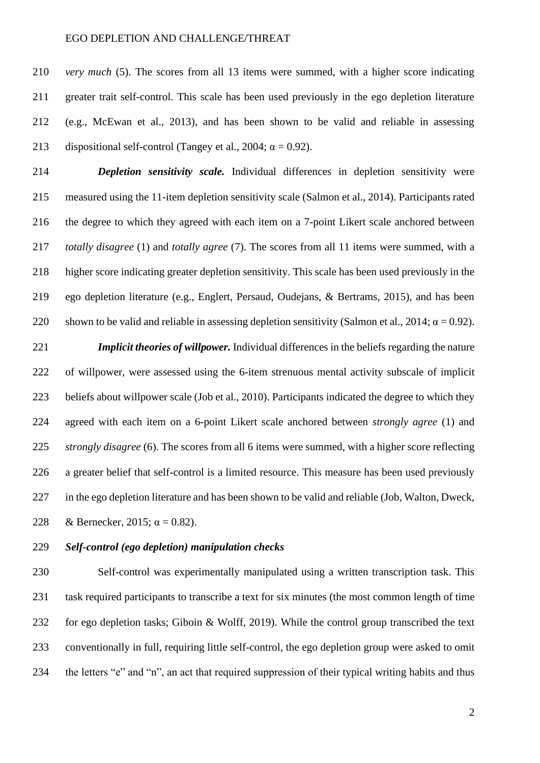*very much* (5). The scores from all 13 items were summed, with a higher score indicating greater trait self-control. This scale has been used previously in the ego depletion literature (e.g., McEwan et al., 2013), and has been shown to be valid and reliable in assessing 213 dispositional self-control (Tangey et al., 2004;  $\alpha = 0.92$ ).

 *Depletion sensitivity scale.* Individual differences in depletion sensitivity were measured using the 11-item depletion sensitivity scale (Salmon et al., 2014). Participants rated the degree to which they agreed with each item on a 7-point Likert scale anchored between *totally disagree* (1) and *totally agree* (7). The scores from all 11 items were summed, with a higher score indicating greater depletion sensitivity. This scale has been used previously in the ego depletion literature (e.g., Englert, Persaud, Oudejans, & Bertrams, 2015), and has been 220 shown to be valid and reliable in assessing depletion sensitivity (Salmon et al., 2014;  $\alpha = 0.92$ ).

 *Implicit theories of willpower.* Individual differences in the beliefs regarding the nature of willpower, were assessed using the 6-item strenuous mental activity subscale of implicit beliefs about willpower scale (Job et al., 2010). Participants indicated the degree to which they agreed with each item on a 6-point Likert scale anchored between *strongly agree* (1) and *strongly disagree* (6). The scores from all 6 items were summed, with a higher score reflecting a greater belief that self-control is a limited resource. This measure has been used previously in the ego depletion literature and has been shown to be valid and reliable (Job, Walton, Dweck, 228 & Bernecker, 2015;  $\alpha = 0.82$ ).

## *Self-control (ego depletion) manipulation checks*

 Self-control was experimentally manipulated using a written transcription task. This task required participants to transcribe a text for six minutes (the most common length of time for ego depletion tasks; Giboin & Wolff, 2019). While the control group transcribed the text conventionally in full, requiring little self-control, the ego depletion group were asked to omit the letters "e" and "n", an act that required suppression of their typical writing habits and thus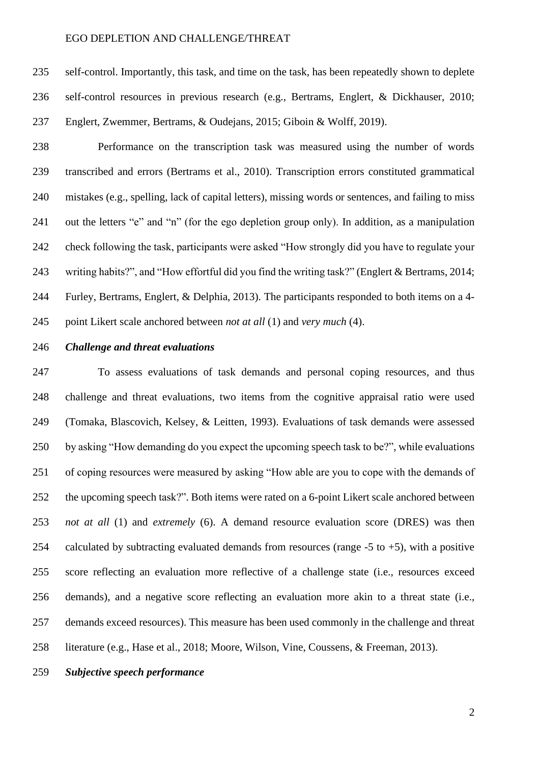self-control. Importantly, this task, and time on the task, has been repeatedly shown to deplete self-control resources in previous research (e.g., Bertrams, Englert, & Dickhauser, 2010; Englert, Zwemmer, Bertrams, & Oudejans, 2015; Giboin & Wolff, 2019).

 Performance on the transcription task was measured using the number of words transcribed and errors (Bertrams et al., 2010). Transcription errors constituted grammatical mistakes (e.g., spelling, lack of capital letters), missing words or sentences, and failing to miss out the letters "e" and "n" (for the ego depletion group only). In addition, as a manipulation check following the task, participants were asked "How strongly did you have to regulate your writing habits?", and "How effortful did you find the writing task?" (Englert & Bertrams, 2014; Furley, Bertrams, Englert, & Delphia, 2013). The participants responded to both items on a 4- point Likert scale anchored between *not at all* (1) and *very much* (4).

# *Challenge and threat evaluations*

 To assess evaluations of task demands and personal coping resources, and thus challenge and threat evaluations, two items from the cognitive appraisal ratio were used (Tomaka, Blascovich, Kelsey, & Leitten, 1993). Evaluations of task demands were assessed by asking "How demanding do you expect the upcoming speech task to be?", while evaluations of coping resources were measured by asking "How able are you to cope with the demands of the upcoming speech task?". Both items were rated on a 6-point Likert scale anchored between *not at all* (1) and *extremely* (6). A demand resource evaluation score (DRES) was then 254 calculated by subtracting evaluated demands from resources (range  $-5$  to  $+5$ ), with a positive score reflecting an evaluation more reflective of a challenge state (i.e., resources exceed demands), and a negative score reflecting an evaluation more akin to a threat state (i.e., demands exceed resources). This measure has been used commonly in the challenge and threat literature (e.g., Hase et al., 2018; Moore, Wilson, Vine, Coussens, & Freeman, 2013).

# *Subjective speech performance*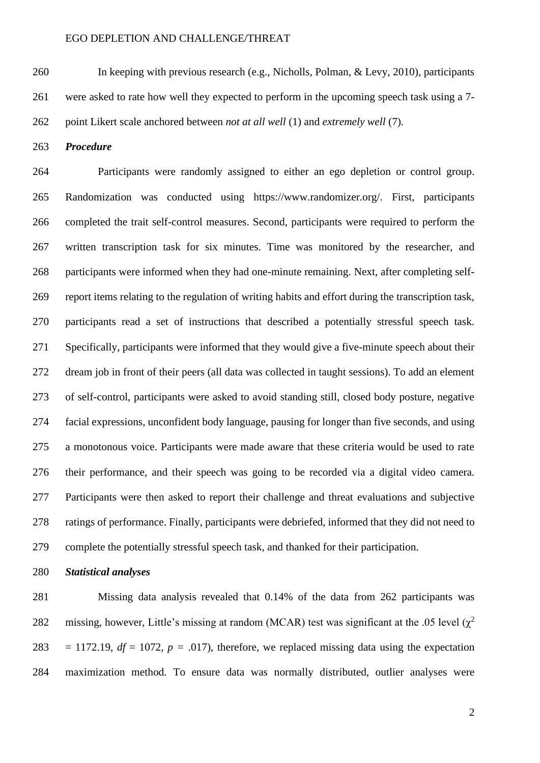In keeping with previous research (e.g., Nicholls, Polman, & Levy, 2010), participants were asked to rate how well they expected to perform in the upcoming speech task using a 7-

point Likert scale anchored between *not at all well* (1) and *extremely well* (7)*.*

*Procedure*

264 Participants were randomly assigned to either an ego depletion or control group. Randomization was conducted using [https://www.randomizer.org/.](about:blank) First, participants completed the trait self-control measures. Second, participants were required to perform the written transcription task for six minutes. Time was monitored by the researcher, and participants were informed when they had one-minute remaining. Next, after completing self- report items relating to the regulation of writing habits and effort during the transcription task, participants read a set of instructions that described a potentially stressful speech task. Specifically, participants were informed that they would give a five-minute speech about their dream job in front of their peers (all data was collected in taught sessions). To add an element of self-control, participants were asked to avoid standing still, closed body posture, negative facial expressions, unconfident body language, pausing for longer than five seconds, and using a monotonous voice. Participants were made aware that these criteria would be used to rate their performance, and their speech was going to be recorded via a digital video camera. Participants were then asked to report their challenge and threat evaluations and subjective ratings of performance. Finally, participants were debriefed, informed that they did not need to complete the potentially stressful speech task, and thanked for their participation.

*Statistical analyses*

 Missing data analysis revealed that 0.14% of the data from 262 participants was missing, however, Little's missing at random (MCAR) test was significant at the .05 level ( $\chi^2$ ) 283 = 1172.19,  $df = 1072$ ,  $p = .017$ ), therefore, we replaced missing data using the expectation maximization method. To ensure data was normally distributed, outlier analyses were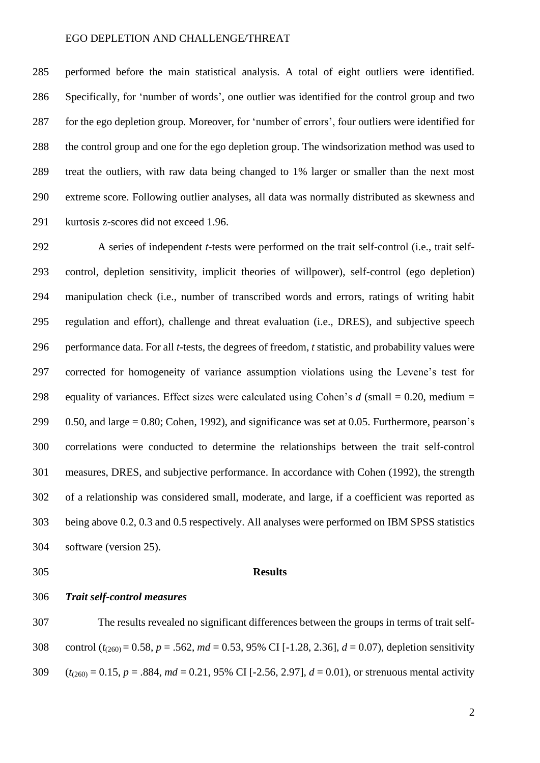performed before the main statistical analysis. A total of eight outliers were identified. Specifically, for 'number of words', one outlier was identified for the control group and two for the ego depletion group. Moreover, for 'number of errors', four outliers were identified for the control group and one for the ego depletion group. The windsorization method was used to treat the outliers, with raw data being changed to 1% larger or smaller than the next most extreme score. Following outlier analyses, all data was normally distributed as skewness and kurtosis z-scores did not exceed 1.96.

 A series of independent *t*-tests were performed on the trait self-control (i.e., trait self- control, depletion sensitivity, implicit theories of willpower), self-control (ego depletion) manipulation check (i.e., number of transcribed words and errors, ratings of writing habit regulation and effort), challenge and threat evaluation (i.e., DRES), and subjective speech performance data. For all *t*-tests, the degrees of freedom, *t* statistic, and probability values were corrected for homogeneity of variance assumption violations using the Levene's test for equality of variances. Effect sizes were calculated using Cohen's *d* (small = 0.20, medium =  $0.50$ , and large = 0.80; Cohen, 1992), and significance was set at 0.05. Furthermore, pearson's correlations were conducted to determine the relationships between the trait self-control measures, DRES, and subjective performance. In accordance with Cohen (1992), the strength of a relationship was considered small, moderate, and large, if a coefficient was reported as being above 0.2, 0.3 and 0.5 respectively. All analyses were performed on IBM SPSS statistics software (version 25).

## **Results**

*Trait self-control measures*

 The results revealed no significant differences between the groups in terms of trait self- control (*t*(260) = 0.58, *p* = .562, *md* = 0.53, 95% CI [-1.28, 2.36], *d* = 0.07), depletion sensitivity (*t*(260) = 0.15, *p* = .884, *md* = 0.21, 95% CI [-2.56, 2.97], *d* = 0.01), or strenuous mental activity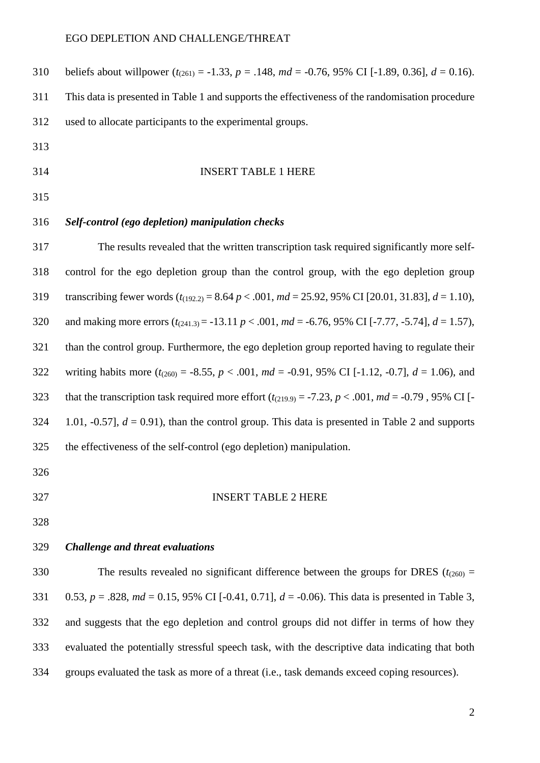| 310 | beliefs about will power $(t_{(261)} = -1.33, p = .148, md = -0.76, 95\% \text{ CI} [-1.89, 0.36], d = 0.16)$ .   |
|-----|-------------------------------------------------------------------------------------------------------------------|
| 311 | This data is presented in Table 1 and supports the effectiveness of the randomisation procedure                   |
| 312 | used to allocate participants to the experimental groups.                                                         |
| 313 |                                                                                                                   |
| 314 | <b>INSERT TABLE 1 HERE</b>                                                                                        |
| 315 |                                                                                                                   |
| 316 | Self-control (ego depletion) manipulation checks                                                                  |
| 317 | The results revealed that the written transcription task required significantly more self-                        |
| 318 | control for the ego depletion group than the control group, with the ego depletion group                          |
| 319 | transcribing fewer words $(t_{(192.2)} = 8.64 \, p < .001$ , $md = 25.92$ , 95% CI [20.01, 31.83], $d = 1.10$ ),  |
| 320 | and making more errors $(t_{(241.3)} = -13.11 \ p < .001$ , $md = -6.76$ , 95% CI [-7.77, -5.74], $d = 1.57$ ),   |
| 321 | than the control group. Furthermore, the ego depletion group reported having to regulate their                    |
| 322 | writing habits more $(t_{(260)} = -8.55, p < .001, md = -0.91, 95\% \text{ CI} [-1.12, -0.7], d = 1.06)$ , and    |
| 323 | that the transcription task required more effort $(t_{(219.9)} = -7.23, p < .001, md = -0.79, 95\% \text{ CI}$ [- |
| 324 | 1.01, -0.57], $d = 0.91$ ), than the control group. This data is presented in Table 2 and supports                |
| 325 | the effectiveness of the self-control (ego depletion) manipulation.                                               |
| 326 |                                                                                                                   |
| 327 | <b>INSERT TABLE 2 HERE</b>                                                                                        |
| 328 |                                                                                                                   |
| 329 | Challenge and threat evaluations                                                                                  |
| 330 | The results revealed no significant difference between the groups for DRES ( $t_{(260)}$ =                        |
| 331 | 0.53, $p = .828$ , $md = 0.15$ , 95% CI [-0.41, 0.71], $d = -0.06$ ). This data is presented in Table 3,          |
| 332 | and suggests that the ego depletion and control groups did not differ in terms of how they                        |
| 333 | evaluated the potentially stressful speech task, with the descriptive data indicating that both                   |

groups evaluated the task as more of a threat (i.e., task demands exceed coping resources).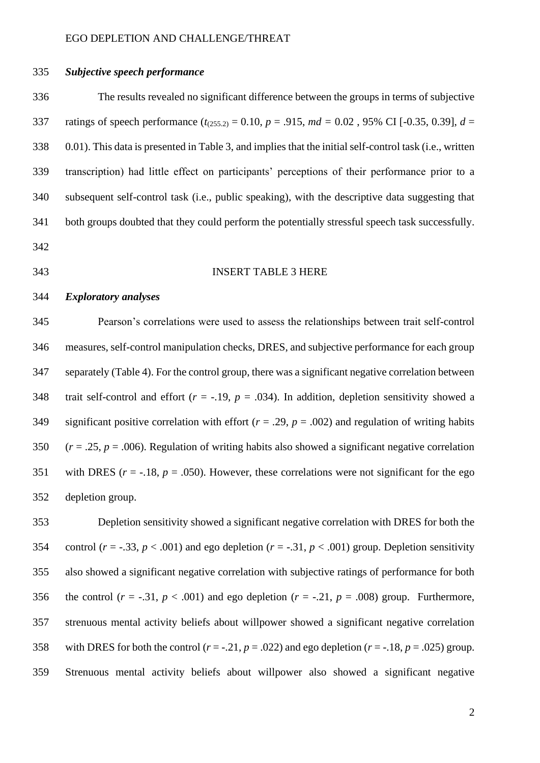# *Subjective speech performance*

 The results revealed no significant difference between the groups in terms of subjective 337 ratings of speech performance  $(t_{(255.2)} = 0.10, p = .915, md = 0.02, 95\% \text{ CI} [-0.35, 0.39], d =$  0.01). This data is presented in Table 3, and implies that the initial self-control task (i.e., written transcription) had little effect on participants' perceptions of their performance prior to a subsequent self-control task (i.e., public speaking), with the descriptive data suggesting that both groups doubted that they could perform the potentially stressful speech task successfully. 

- 
- 

### INSERT TABLE 3 HERE

#### *Exploratory analyses*

 Pearson's correlations were used to assess the relationships between trait self-control measures, self-control manipulation checks, DRES, and subjective performance for each group separately (Table 4). For the control group, there was a significant negative correlation between 348 trait self-control and effort  $(r = -.19, p = .034)$ . In addition, depletion sensitivity showed a 349 significant positive correlation with effort  $(r = .29, p = .002)$  and regulation of writing habits (*r* = .25, *p* = .006). Regulation of writing habits also showed a significant negative correlation 351 with DRES ( $r = -18$ ,  $p = .050$ ). However, these correlations were not significant for the ego depletion group.

 Depletion sensitivity showed a significant negative correlation with DRES for both the 354 control ( $r = -.33$ ,  $p < .001$ ) and ego depletion ( $r = -.31$ ,  $p < .001$ ) group. Depletion sensitivity also showed a significant negative correlation with subjective ratings of performance for both 356 the control  $(r = -.31, p < .001)$  and ego depletion  $(r = -.21, p = .008)$  group. Furthermore, strenuous mental activity beliefs about willpower showed a significant negative correlation 358 with DRES for both the control  $(r = -0.21, p = 0.022)$  and ego depletion  $(r = -0.18, p = 0.025)$  group. Strenuous mental activity beliefs about willpower also showed a significant negative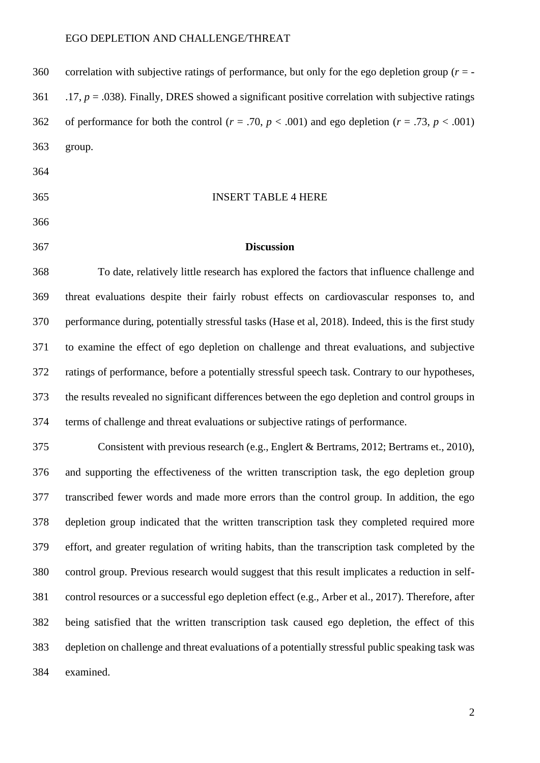| 360 | correlation with subjective ratings of performance, but only for the ego depletion group $(r = -1)$         |
|-----|-------------------------------------------------------------------------------------------------------------|
| 361 | .17, $p = 0.038$ ). Finally, DRES showed a significant positive correlation with subjective ratings         |
| 362 | of performance for both the control ( $r = .70$ , $p < .001$ ) and ego depletion ( $r = .73$ , $p < .001$ ) |
| 363 | group.                                                                                                      |

- 
- INSERT TABLE 4 HERE
	-
- 
- 

### **Discussion**

 To date, relatively little research has explored the factors that influence challenge and threat evaluations despite their fairly robust effects on cardiovascular responses to, and performance during, potentially stressful tasks (Hase et al, 2018). Indeed, this is the first study to examine the effect of ego depletion on challenge and threat evaluations, and subjective ratings of performance, before a potentially stressful speech task. Contrary to our hypotheses, the results revealed no significant differences between the ego depletion and control groups in terms of challenge and threat evaluations or subjective ratings of performance.

 Consistent with previous research (e.g., Englert & Bertrams, 2012; Bertrams et., 2010), and supporting the effectiveness of the written transcription task, the ego depletion group transcribed fewer words and made more errors than the control group. In addition, the ego depletion group indicated that the written transcription task they completed required more effort, and greater regulation of writing habits, than the transcription task completed by the control group. Previous research would suggest that this result implicates a reduction in self- control resources or a successful ego depletion effect (e.g., Arber et al., 2017). Therefore, after being satisfied that the written transcription task caused ego depletion, the effect of this depletion on challenge and threat evaluations of a potentially stressful public speaking task was examined.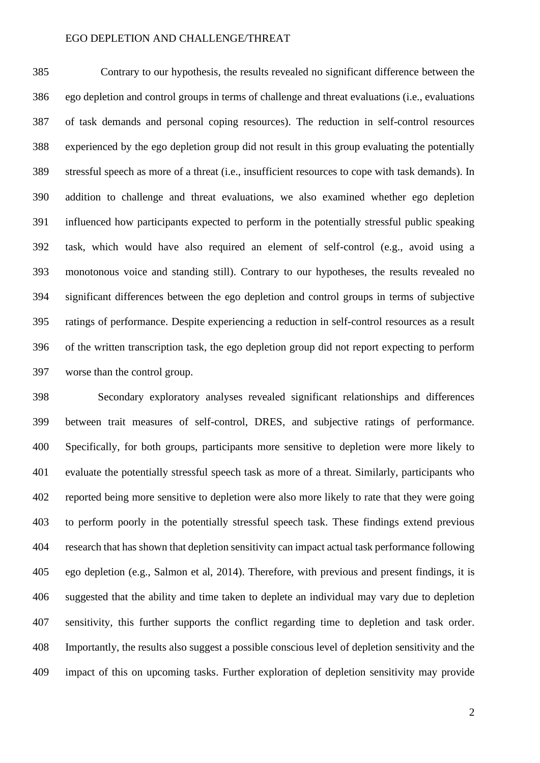Contrary to our hypothesis, the results revealed no significant difference between the ego depletion and control groups in terms of challenge and threat evaluations (i.e., evaluations of task demands and personal coping resources). The reduction in self-control resources experienced by the ego depletion group did not result in this group evaluating the potentially stressful speech as more of a threat (i.e., insufficient resources to cope with task demands). In addition to challenge and threat evaluations, we also examined whether ego depletion influenced how participants expected to perform in the potentially stressful public speaking task, which would have also required an element of self-control (e.g., avoid using a monotonous voice and standing still). Contrary to our hypotheses, the results revealed no significant differences between the ego depletion and control groups in terms of subjective ratings of performance. Despite experiencing a reduction in self-control resources as a result of the written transcription task, the ego depletion group did not report expecting to perform worse than the control group.

 Secondary exploratory analyses revealed significant relationships and differences between trait measures of self-control, DRES, and subjective ratings of performance. Specifically, for both groups, participants more sensitive to depletion were more likely to evaluate the potentially stressful speech task as more of a threat. Similarly, participants who reported being more sensitive to depletion were also more likely to rate that they were going to perform poorly in the potentially stressful speech task. These findings extend previous research that has shown that depletion sensitivity can impact actual task performance following ego depletion (e.g., Salmon et al, 2014). Therefore, with previous and present findings, it is suggested that the ability and time taken to deplete an individual may vary due to depletion sensitivity, this further supports the conflict regarding time to depletion and task order. Importantly, the results also suggest a possible conscious level of depletion sensitivity and the impact of this on upcoming tasks. Further exploration of depletion sensitivity may provide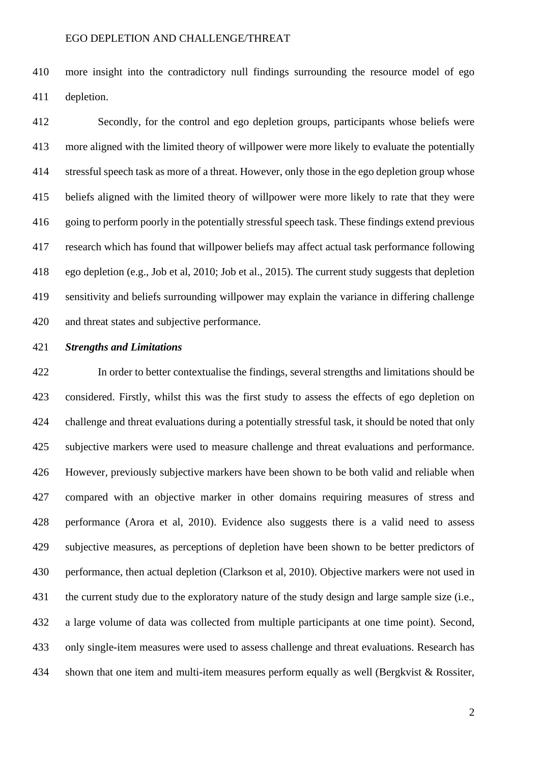more insight into the contradictory null findings surrounding the resource model of ego depletion.

 Secondly, for the control and ego depletion groups, participants whose beliefs were more aligned with the limited theory of willpower were more likely to evaluate the potentially stressful speech task as more of a threat. However, only those in the ego depletion group whose beliefs aligned with the limited theory of willpower were more likely to rate that they were going to perform poorly in the potentially stressful speech task. These findings extend previous research which has found that willpower beliefs may affect actual task performance following ego depletion (e.g., Job et al, 2010; Job et al., 2015). The current study suggests that depletion sensitivity and beliefs surrounding willpower may explain the variance in differing challenge and threat states and subjective performance.

## *Strengths and Limitations*

 In order to better contextualise the findings, several strengths and limitations should be considered. Firstly, whilst this was the first study to assess the effects of ego depletion on challenge and threat evaluations during a potentially stressful task, it should be noted that only subjective markers were used to measure challenge and threat evaluations and performance. However, previously subjective markers have been shown to be both valid and reliable when compared with an objective marker in other domains requiring measures of stress and performance (Arora et al, 2010). Evidence also suggests there is a valid need to assess subjective measures, as perceptions of depletion have been shown to be better predictors of performance, then actual depletion (Clarkson et al, 2010). Objective markers were not used in the current study due to the exploratory nature of the study design and large sample size (i.e., a large volume of data was collected from multiple participants at one time point). Second, only single-item measures were used to assess challenge and threat evaluations. Research has 434 shown that one item and multi-item measures perform equally as well (Bergkvist & Rossiter,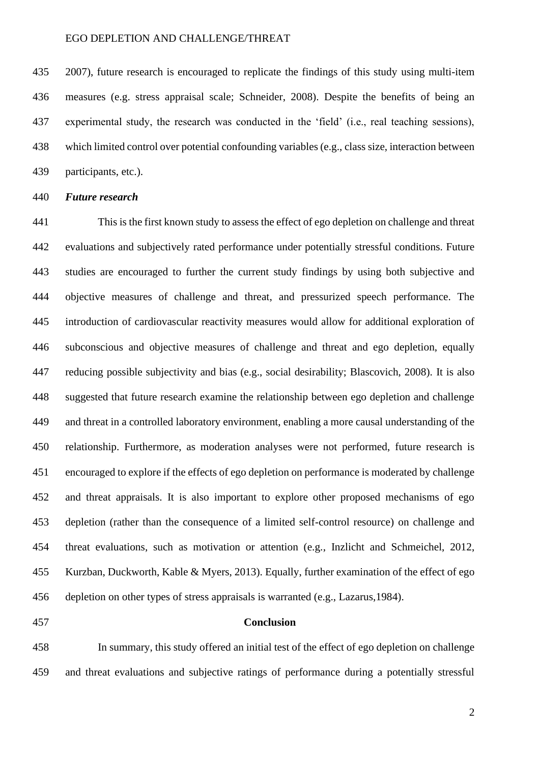2007), future research is encouraged to replicate the findings of this study using multi-item measures (e.g. stress appraisal scale; Schneider, 2008). Despite the benefits of being an experimental study, the research was conducted in the 'field' (i.e., real teaching sessions), which limited control over potential confounding variables (e.g., class size, interaction between participants, etc.).

## *Future research*

 This is the first known study to assess the effect of ego depletion on challenge and threat evaluations and subjectively rated performance under potentially stressful conditions. Future studies are encouraged to further the current study findings by using both subjective and objective measures of challenge and threat, and pressurized speech performance. The introduction of cardiovascular reactivity measures would allow for additional exploration of subconscious and objective measures of challenge and threat and ego depletion, equally reducing possible subjectivity and bias (e.g., social desirability; Blascovich, 2008). It is also suggested that future research examine the relationship between ego depletion and challenge and threat in a controlled laboratory environment, enabling a more causal understanding of the relationship. Furthermore, as moderation analyses were not performed, future research is encouraged to explore if the effects of ego depletion on performance is moderated by challenge and threat appraisals. It is also important to explore other proposed mechanisms of ego depletion (rather than the consequence of a limited self-control resource) on challenge and threat evaluations, such as motivation or attention (e.g., Inzlicht and Schmeichel, 2012, Kurzban, Duckworth, Kable & Myers, 2013). Equally, further examination of the effect of ego depletion on other types of stress appraisals is warranted (e.g., Lazarus,1984).

#### **Conclusion**

 In summary, this study offered an initial test of the effect of ego depletion on challenge and threat evaluations and subjective ratings of performance during a potentially stressful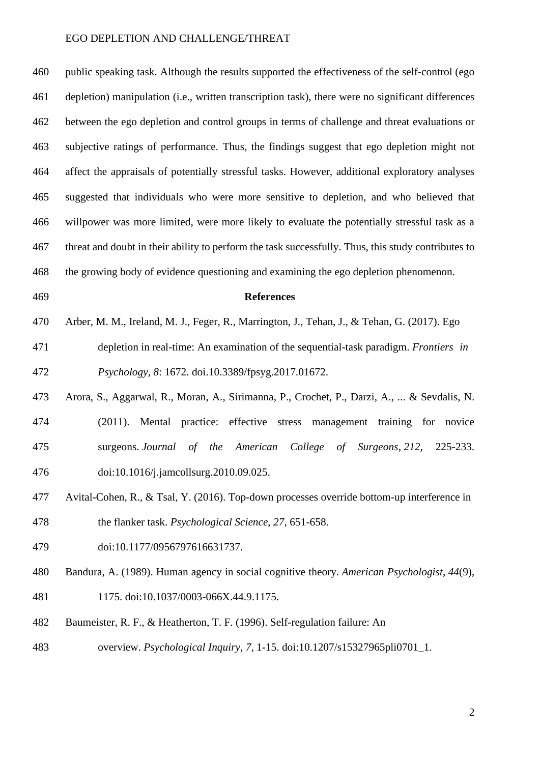public speaking task. Although the results supported the effectiveness of the self-control (ego depletion) manipulation (i.e., written transcription task), there were no significant differences between the ego depletion and control groups in terms of challenge and threat evaluations or subjective ratings of performance. Thus, the findings suggest that ego depletion might not affect the appraisals of potentially stressful tasks. However, additional exploratory analyses suggested that individuals who were more sensitive to depletion, and who believed that willpower was more limited, were more likely to evaluate the potentially stressful task as a threat and doubt in their ability to perform the task successfully. Thus, this study contributes to the growing body of evidence questioning and examining the ego depletion phenomenon.

#### **References**

- Arber, M. M., Ireland, M. J., Feger, R., Marrington, J., Tehan, J., & Tehan, G. (2017). Ego
- depletion in real-time: An examination of the sequential-task paradigm. *Frontiers in Psychology*, *8*: 1672. [doi.10.3389/fpsyg.2017.01672.](about:blank)
- Arora, S., Aggarwal, R., Moran, A., Sirimanna, P., Crochet, P., Darzi, A., ... & Sevdalis, N. (2011). Mental practice: effective stress management training for novice surgeons. *Journal of the American College of Surgeons*, *212*, 225-233. doi:10.1016/j.jamcollsurg.2010.09.025.
- Avital-Cohen, R., & Tsal, Y. (2016). Top-down processes override bottom-up interference in the flanker task. *Psychological Science*, *27*, 651-658.
- [doi:10.1177/0956797616631737.](about:blank)
- Bandura, A. (1989). Human agency in social cognitive theory. *American Psychologist*, *44*(9),
- 1175. [doi:10.1037/0003-066X.44.9.1175.](https://psycnet.apa.org/doi/10.1037/0003-066X.44.9.1175)
- Baumeister, R. F., & Heatherton, T. F. (1996). Self-regulation failure: An
- overview. *Psychological Inquiry*, *7*, 1-15. doi:10.1207/s15327965pli0701\_1.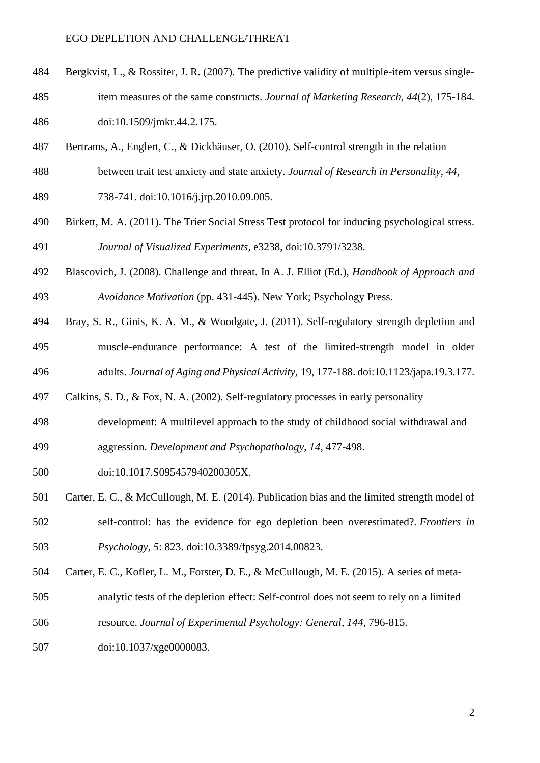- Bergkvist, L., & Rossiter, J. R. (2007). The predictive validity of multiple-item versus single-
- item measures of the same constructs. *Journal of Marketing Research*, *44*(2), 175-184. [doi:10.1509/jmkr.44.2.175.](https://doi.org/10.1509%2Fjmkr.44.2.175)
- Bertrams, A., Englert, C., & Dickhäuser, O. (2010). Self-control strength in the relation
- between trait test anxiety and state anxiety. *Journal of Research in Personality*, *44*,
- 738-741. doi:10.1016/j.jrp.2010.09.005.
- Birkett, M. A. (2011). The Trier Social Stress Test protocol for inducing psychological stress. *Journal of Visualized Experiments*, e3238, doi:10.3791/3238.
- Blascovich, J. (2008). Challenge and threat. In A. J. Elliot (Ed.), *Handbook of Approach and Avoidance Motivation* (pp. 431-445). New York; Psychology Press.
- Bray, S. R., Ginis, K. A. M., & Woodgate, J. (2011). Self-regulatory strength depletion and muscle-endurance performance: A test of the limited-strength model in older
- adults. *Journal of Aging and Physical Activity,* 19, 177-188. doi:10.1123/japa.19.3.177.
- Calkins, S. D., & Fox, N. A. (2002). Self-regulatory processes in early personality
- development: A multilevel approach to the study of childhood social withdrawal and
- aggression. *Development and Psychopathology*, *14*, 477-498.
- doi:10.1017.S095457940200305X.
- Carter, E. C., & McCullough, M. E. (2014). Publication bias and the limited strength model of self-control: has the evidence for ego depletion been overestimated?. *Frontiers in Psychology*, *5*: 823. [doi:10.3389/fpsyg.2014.00823.](about:blank)
- Carter, E. C., Kofler, L. M., Forster, D. E., & McCullough, M. E. (2015). A series of meta-
- analytic tests of the depletion effect: Self-control does not seem to rely on a limited
- resource. *Journal of Experimental Psychology: General*, *144*, 796-815.
- doi:10.1037/xge0000083.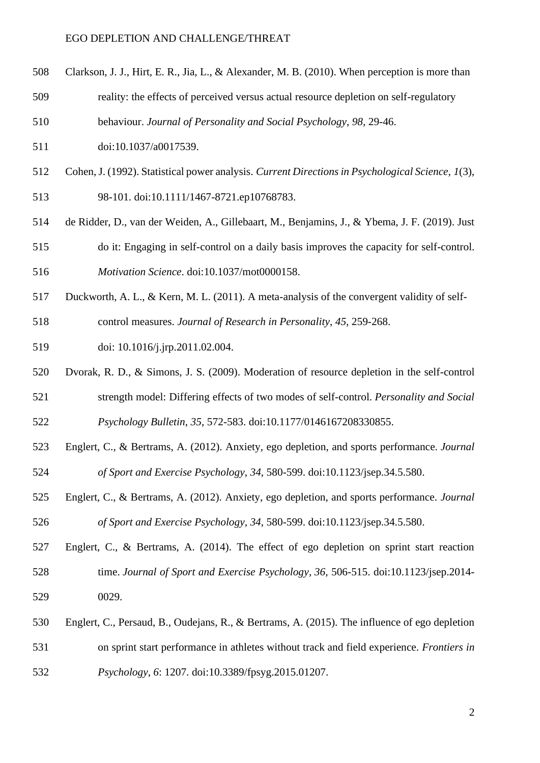- Clarkson, J. J., Hirt, E. R., Jia, L., & Alexander, M. B. (2010). When perception is more than
- reality: the effects of perceived versus actual resource depletion on self-regulatory
- behaviour. *Journal of Personality and Social Psychology*, *98*, 29-46.
- 511 doi:10.1037/a0017539.
- Cohen, J. (1992). Statistical power analysis. *Current Directions in Psychological Science*, *1*(3), 98-101. [doi:10.1111/1467-8721.ep10768783.](https://doi.org/10.1111%2F1467-8721.ep10768783)
- de Ridder, D., van der Weiden, A., Gillebaart, M., Benjamins, J., & Ybema, J. F. (2019). Just do it: Engaging in self-control on a daily basis improves the capacity for self-control. *Motivation Science*. doi:10.1037/mot0000158.
- Duckworth, A. L., & Kern, M. L. (2011). A meta-analysis of the convergent validity of self-
- control measures. *Journal of Research in Personality*, *45*, 259-268.
- doi: 10.1016/j.jrp.2011.02.004.
- Dvorak, R. D., & Simons, J. S. (2009). Moderation of resource depletion in the self-control strength model: Differing effects of two modes of self-control. *Personality and Social Psychology Bulletin*, *35*, 572-583. [doi:10.1177/0146167208330855.](about:blank)
- Englert, C., & Bertrams, A. (2012). Anxiety, ego depletion, and sports performance. *Journal of Sport and Exercise Psychology*, *34*, 580-599. doi:10.1123/jsep.34.5.580.
- Englert, C., & Bertrams, A. (2012). Anxiety, ego depletion, and sports performance. *Journal of Sport and Exercise Psychology, 34*, 580-599. doi:10.1123/jsep.34.5.580.
- Englert, C., & Bertrams, A. (2014). The effect of ego depletion on sprint start reaction time. *Journal of Sport and Exercise Psychology*, *36*, 506-515. [doi:10.1123/jsep.2014-](about:blank) [0029.](about:blank)
- Englert, C., Persaud, B., Oudejans, R., & Bertrams, A. (2015). The influence of ego depletion on sprint start performance in athletes without track and field experience. *Frontiers in Psychology*, *6*: 1207. [doi:10.3389/fpsyg.2015.01207.](about:blank)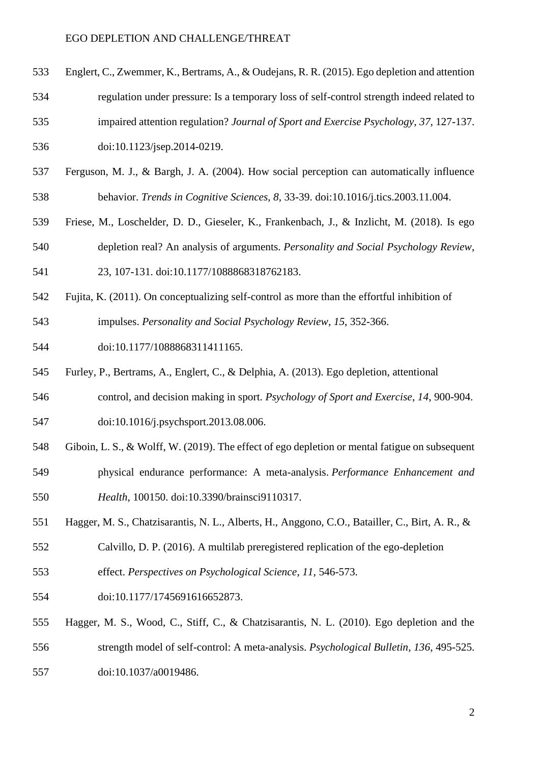- Englert, C., Zwemmer, K., Bertrams, A., & Oudejans, R. R. (2015). Ego depletion and attention
- regulation under pressure: Is a temporary loss of self-control strength indeed related to impaired attention regulation? *Journal of Sport and Exercise Psychology*, *37*, 127-137.
- [doi:10.1123/jsep.2014-0219.](https://doi.org/10.1123/jsep.2014-0219)
- Ferguson, M. J., & Bargh, J. A. (2004). How social perception can automatically influence behavior. *Trends in Cognitive Sciences*, *8*, 33-39. doi:10.1016/j.tics.2003.11.004.
- Friese, M., Loschelder, D. D., Gieseler, K., Frankenbach, J., & Inzlicht, M. (2018). Is ego depletion real? An analysis of arguments. *Personality and Social Psychology Review*,
- 23, 107-131. [doi:10.1177/1088868318762183.](about:blank)
- Fujita, K. (2011). On conceptualizing self-control as more than the effortful inhibition of
- impulses. *Personality and Social Psychology Review*, *15*, 352-366.
- doi:10.1177/1088868311411165.
- Furley, P., Bertrams, A., Englert, C., & Delphia, A. (2013). Ego depletion, attentional
- control, and decision making in sport. *Psychology of Sport and Exercise*, *14*, 900-904. doi:10.1016/j.psychsport.2013.08.006.
- Giboin, L. S., & Wolff, W. (2019). The effect of ego depletion or mental fatigue on subsequent
- physical endurance performance: A meta-analysis. *Performance Enhancement and Health*, 100150. [doi:10.3390/brainsci9110317.](about:blank)
- Hagger, M. S., Chatzisarantis, N. L., Alberts, H., Anggono, C.O., Batailler, C., Birt, A. R., &
- Calvillo, D. P. (2016). A multilab preregistered replication of the ego-depletion
- effect. *Perspectives on Psychological Science*, *11*, 546-573.
- [doi:10.1177/1745691616652873.](about:blank)
- Hagger, M. S., Wood, C., Stiff, C., & Chatzisarantis, N. L. (2010). Ego depletion and the strength model of self-control: A meta-analysis. *Psychological Bulletin*, *136*, 495-525. doi:10.1037/a0019486.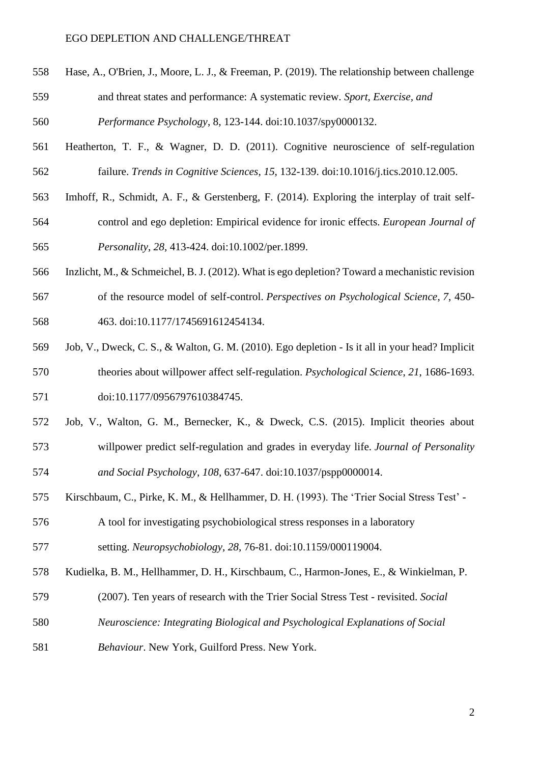Hase, A., O'Brien, J., Moore, L. J., & Freeman, P. (2019). The relationship between challenge and threat states and performance: A systematic review. *Sport, Exercise, and* 

*Performance Psychology*, 8, 123-144. doi:10.1037/spy0000132.

- Heatherton, T. F., & Wagner, D. D. (2011). Cognitive neuroscience of self-regulation failure. *Trends in Cognitive Sciences*, *15*, 132-139. doi:10.1016/j.tics.2010.12.005.
- Imhoff, R., Schmidt, A. F., & Gerstenberg, F. (2014). Exploring the interplay of trait self-
- control and ego depletion: Empirical evidence for ironic effects. *European Journal of Personality*, *28*, 413-424. doi:10.1002/per.1899.
- Inzlicht, M., & Schmeichel, B. J. (2012). What is ego depletion? Toward a mechanistic revision
- of the resource model of self-control. *Perspectives on Psychological Science*, *7*, 450- 463. doi:10.1177/1745691612454134.
- Job, V., Dweck, C. S., & Walton, G. M. (2010). Ego depletion Is it all in your head? Implicit theories about willpower affect self-regulation. *Psychological Science*, *21*, 1686-1693. [doi:10.1177/0956797610384745.](about:blank)
- Job, V., Walton, G. M., Bernecker, K., & Dweck, C.S. (2015). Implicit theories about willpower predict self-regulation and grades in everyday life. *Journal of Personality and Social Psychology*, *108*, 637-647. doi:10.1037/pspp0000014.
- Kirschbaum, C., Pirke, K. M., & Hellhammer, D. H. (1993). The 'Trier Social Stress Test' -

 A tool for investigating psychobiological stress responses in a laboratory setting. *Neuropsychobiology*, *28*, 76-81. [doi:10.1159/000119004.](about:blank)

- Kudielka, B. M., Hellhammer, D. H., Kirschbaum, C., Harmon-Jones, E., & Winkielman, P.
- (2007). Ten years of research with the Trier Social Stress Test revisited. *Social*
- *Neuroscience: Integrating Biological and Psychological Explanations of Social*
- *Behaviour*. New York, Guilford Press. New York.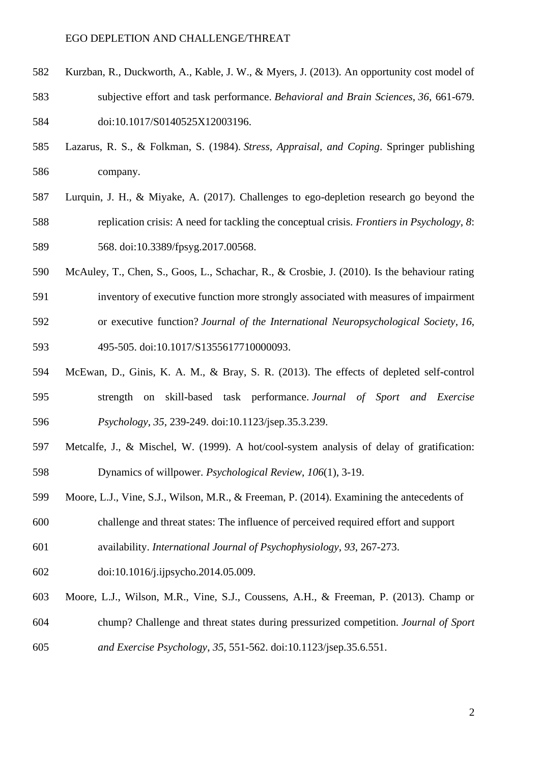- Kurzban, R., Duckworth, A., Kable, J. W., & Myers, J. (2013). An opportunity cost model of subjective effort and task performance. *Behavioral and Brain Sciences*, *36*, 661-679. 584 doi:10.1017/S0140525X12003196.
- Lazarus, R. S., & Folkman, S. (1984). *Stress, Appraisal, and Coping*. Springer publishing company.
- Lurquin, J. H., & Miyake, A. (2017). Challenges to ego-depletion research go beyond the replication crisis: A need for tackling the conceptual crisis. *Frontiers in Psychology*, *8*: 568. [doi:10.3389/fpsyg.2017.00568.](about:blank)
- McAuley, T., Chen, S., Goos, L., Schachar, R., & Crosbie, J. (2010). Is the behaviour rating
- inventory of executive function more strongly associated with measures of impairment
- or executive function? *Journal of the International Neuropsychological Society*, *16*, 495-505. doi:10.1017/S1355617710000093.
- McEwan, D., Ginis, K. A. M., & Bray, S. R. (2013). The effects of depleted self-control
- strength on skill-based task performance. *Journal of Sport and Exercise Psychology*, *35*, 239-249. doi:10.1123/jsep.35.3.239.
- Metcalfe, J., & Mischel, W. (1999). A hot/cool-system analysis of delay of gratification: Dynamics of willpower. *Psychological Review*, *106*(1), 3-19.
- Moore, L.J., Vine, S.J., Wilson, M.R., & Freeman, P. (2014). Examining the antecedents of challenge and threat states: The influence of perceived required effort and support
- availability. *International Journal of Psychophysiology*, *93*, 267-273.
- doi:10.1016/j.ijpsycho.2014.05.009.
- Moore, L.J., Wilson, M.R., Vine, S.J., Coussens, A.H., & Freeman, P. (2013). Champ or chump? Challenge and threat states during pressurized competition. *Journal of Sport and Exercise Psychology*, *35*, 551-562. doi:10.1123/jsep.35.6.551.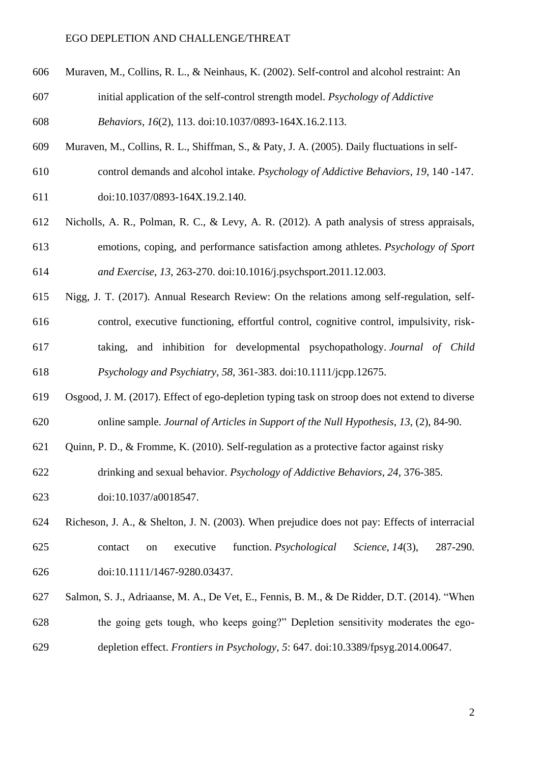- Muraven, M., Collins, R. L., & Neinhaus, K. (2002). Self-control and alcohol restraint: An
- initial application of the self-control strength model. *Psychology of Addictive*
- *Behaviors*, *16*(2), 113. [doi:10.1037/0893-164X.16.2.113.](https://psycnet.apa.org/doi/10.1037/0893-164X.16.2.113)
- Muraven, M., Collins, R. L., Shiffman, S., & Paty, J. A. (2005). Daily fluctuations in self-
- control demands and alcohol intake. *Psychology of Addictive Behaviors*, *19*, 140 -147. doi:10.1037/0893-164X.19.2.140.
- Nicholls, A. R., Polman, R. C., & Levy, A. R. (2012). A path analysis of stress appraisals, emotions, coping, and performance satisfaction among athletes. *Psychology of Sport and Exercise*, *13*, 263-270. doi:10.1016/j.psychsport.2011.12.003.
- Nigg, J. T. (2017). Annual Research Review: On the relations among self-regulation, self- control, executive functioning, effortful control, cognitive control, impulsivity, risk- taking, and inhibition for developmental psychopathology. *Journal of Child Psychology and Psychiatry*, *58*, 361-383. [doi:10.1111/jcpp.12675.](about:blank)
- Osgood, J. M. (2017). Effect of ego-depletion typing task on stroop does not extend to diverse online sample. *Journal of Articles in Support of the Null Hypothesis*, *13*, (2), 84-90.
- Quinn, P. D., & Fromme, K. (2010). Self-regulation as a protective factor against risky
- drinking and sexual behavior. *Psychology of Addictive Behaviors*, *24*, 376-385.
- doi:10.1037/a0018547.
- Richeson, J. A., & Shelton, J. N. (2003). When prejudice does not pay: Effects of interracial contact on executive function. *Psychological Science*, *14*(3), 287-290. [doi:10.1111/1467-9280.03437.](https://doi.org/10.1111%2F1467-9280.03437)
- Salmon, S. J., Adriaanse, M. A., De Vet, E., Fennis, B. M., & De Ridder, D.T. (2014). "When the going gets tough, who keeps going?" Depletion sensitivity moderates the ego-depletion effect. *Frontiers in Psychology*, *5*: 647. [doi:10.3389/fpsyg.2014.00647.](about:blank)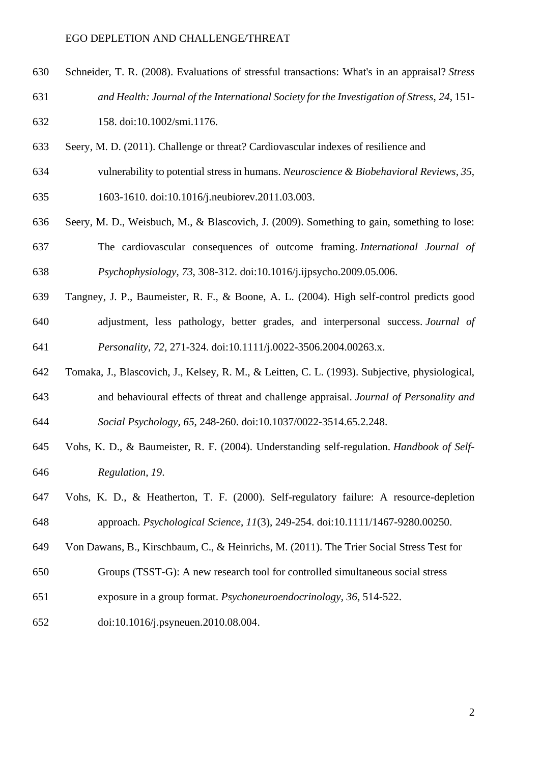Schneider, T. R. (2008). Evaluations of stressful transactions: What's in an appraisal? *Stress and Health: Journal of the International Society for the Investigation of Stress*, *24*, 151-

158. doi:10.1002/smi.1176.

- Seery, M. D. (2011). Challenge or threat? Cardiovascular indexes of resilience and
- vulnerability to potential stress in humans. *Neuroscience & Biobehavioral Reviews*, *35*, 1603-1610. doi:10.1016/j.neubiorev.2011.03.003.
- Seery, M. D., Weisbuch, M., & Blascovich, J. (2009). Something to gain, something to lose: The cardiovascular consequences of outcome framing. *International Journal of Psychophysiology*, *73*, 308-312. doi:10.1016/j.ijpsycho.2009.05.006.
- Tangney, J. P., Baumeister, R. F., & Boone, A. L. (2004). High self-control predicts good adjustment, less pathology, better grades, and interpersonal success. *Journal of Personality*, *72*, 271-324. [doi:10.1111/j.0022-3506.2004.00263.x.](about:blank)
- Tomaka, J., Blascovich, J., Kelsey, R. M., & Leitten, C. L. (1993). Subjective, physiological, and behavioural effects of threat and challenge appraisal. *Journal of Personality and Social Psychology*, *65*, 248-260. doi:10.1037/0022-3514.65.2.248.
- Vohs, K. D., & Baumeister, R. F. (2004). Understanding self-regulation. *Handbook of Self-Regulation*, *19*.
- Vohs, K. D., & Heatherton, T. F. (2000). Self-regulatory failure: A resource-depletion approach. *Psychological Science*, *11*(3), 249-254. [doi:10.1111/1467-9280.00250.](https://doi.org/10.1111%2F1467-9280.00250)
- Von Dawans, B., Kirschbaum, C., & Heinrichs, M. (2011). The Trier Social Stress Test for
- Groups (TSST-G): A new research tool for controlled simultaneous social stress
- exposure in a group format. *Psychoneuroendocrinology*, *36*, 514-522.
- doi:10.1016/j.psyneuen.2010.08.004.